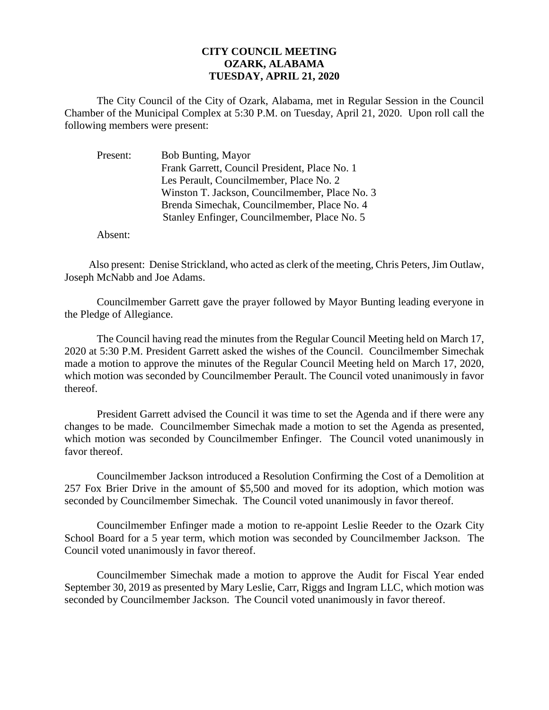## **CITY COUNCIL MEETING OZARK, ALABAMA TUESDAY, APRIL 21, 2020**

The City Council of the City of Ozark, Alabama, met in Regular Session in the Council Chamber of the Municipal Complex at 5:30 P.M. on Tuesday, April 21, 2020. Upon roll call the following members were present:

| Present: | Bob Bunting, Mayor                             |
|----------|------------------------------------------------|
|          | Frank Garrett, Council President, Place No. 1  |
|          | Les Perault, Councilmember, Place No. 2        |
|          | Winston T. Jackson, Councilmember, Place No. 3 |
|          | Brenda Simechak, Councilmember, Place No. 4    |
|          | Stanley Enfinger, Councilmember, Place No. 5   |

Absent:

Also present: Denise Strickland, who acted as clerk of the meeting, Chris Peters, Jim Outlaw, Joseph McNabb and Joe Adams.

Councilmember Garrett gave the prayer followed by Mayor Bunting leading everyone in the Pledge of Allegiance.

The Council having read the minutes from the Regular Council Meeting held on March 17, 2020 at 5:30 P.M. President Garrett asked the wishes of the Council. Councilmember Simechak made a motion to approve the minutes of the Regular Council Meeting held on March 17, 2020, which motion was seconded by Councilmember Perault. The Council voted unanimously in favor thereof.

President Garrett advised the Council it was time to set the Agenda and if there were any changes to be made. Councilmember Simechak made a motion to set the Agenda as presented, which motion was seconded by Councilmember Enfinger. The Council voted unanimously in favor thereof.

Councilmember Jackson introduced a Resolution Confirming the Cost of a Demolition at 257 Fox Brier Drive in the amount of \$5,500 and moved for its adoption, which motion was seconded by Councilmember Simechak. The Council voted unanimously in favor thereof.

Councilmember Enfinger made a motion to re-appoint Leslie Reeder to the Ozark City School Board for a 5 year term, which motion was seconded by Councilmember Jackson. The Council voted unanimously in favor thereof.

Councilmember Simechak made a motion to approve the Audit for Fiscal Year ended September 30, 2019 as presented by Mary Leslie, Carr, Riggs and Ingram LLC, which motion was seconded by Councilmember Jackson. The Council voted unanimously in favor thereof.